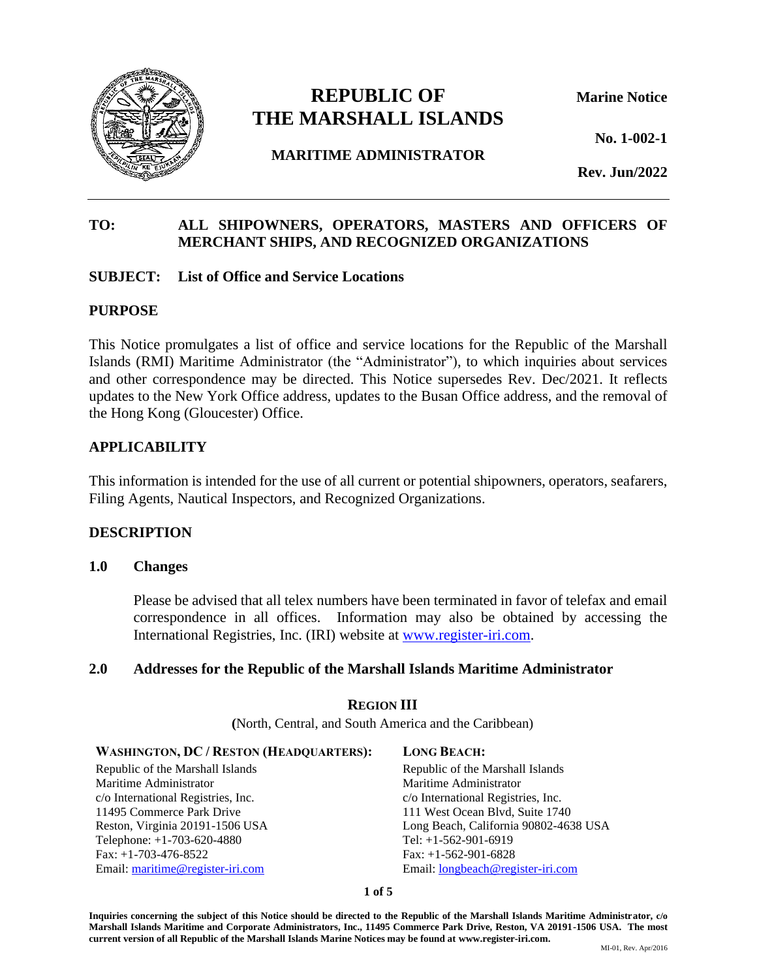

# **REPUBLIC OF Marine Notice THE MARSHALL ISLANDS**

**No. 1-002-1**

**MARITIME ADMINISTRATOR**

**Rev. Jun/2022**

# **TO: ALL SHIPOWNERS, OPERATORS, MASTERS AND OFFICERS OF MERCHANT SHIPS, AND RECOGNIZED ORGANIZATIONS**

# **SUBJECT: List of Office and Service Locations**

### **PURPOSE**

This Notice promulgates a list of office and service locations for the Republic of the Marshall Islands (RMI) Maritime Administrator (the "Administrator"), to which inquiries about services and other correspondence may be directed. This Notice supersedes Rev. Dec/2021. It reflects updates to the New York Office address, updates to the Busan Office address, and the removal of the Hong Kong (Gloucester) Office.

# **APPLICABILITY**

This information is intended for the use of all current or potential shipowners, operators, seafarers, Filing Agents, Nautical Inspectors, and Recognized Organizations.

# **DESCRIPTION**

### **1.0 Changes**

Please be advised that all telex numbers have been terminated in favor of telefax and email correspondence in all offices. Information may also be obtained by accessing the International Registries, Inc. (IRI) website at [www.register-iri.com.](http://www.register-iri.com/)

### **2.0 Addresses for the Republic of the Marshall Islands Maritime Administrator**

### **REGION III**

**(**North, Central, and South America and the Caribbean)

#### **WASHINGTON, DC / RESTON (HEADQUARTERS): LONG BEACH:**

Republic of the Marshall Islands Maritime Administrator c/o International Registries, Inc. 11495 Commerce Park Drive Reston, Virginia 20191-1506 USA Telephone: +1-703-620-4880 Fax: +1-703-476-8522 Email[: maritime@register-iri.com](mailto:maritime@register-iri.com)

Republic of the Marshall Islands Maritime Administrator c/o International Registries, Inc. 111 West Ocean Blvd, Suite 1740 Long Beach, California 90802-4638 USA Tel: +1-562-901-6919 Fax: +1-562-901-6828 Email: [longbeach@register-iri.com](mailto:longbeach@register-iri.com)

#### **1 of 5**

**Inquiries concerning the subject of this Notice should be directed to the Republic of the Marshall Islands Maritime Administrator, c/o Marshall Islands Maritime and Corporate Administrators, Inc., 11495 Commerce Park Drive, Reston, VA 20191-1506 USA. The most current version of all Republic of the Marshall Islands Marine Notices may be found at www.register-iri.com.**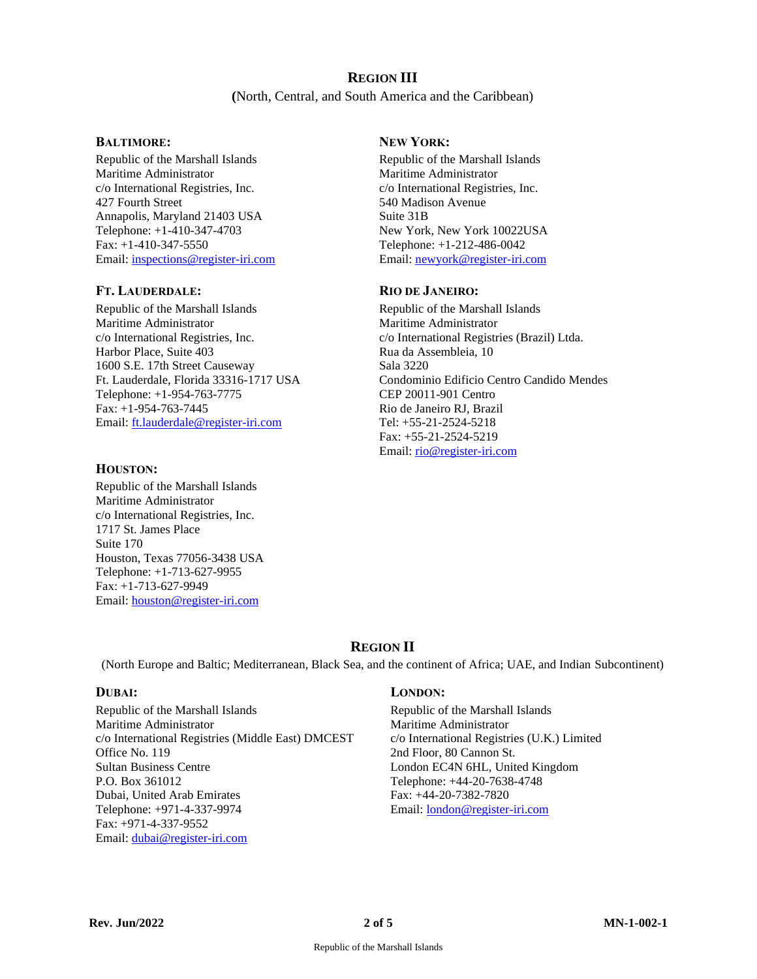# **REGION III**

**(**North, Central, and South America and the Caribbean)

Republic of the Marshall Islands Maritime Administrator c/o International Registries, Inc. 427 Fourth Street Annapolis, Maryland 21403 USA Telephone: +1-410-347-4703 Fax: +1-410-347-5550 Email[: inspections@register-iri.com](mailto:inspections@register-iri.com)

#### **FT. LAUDERDALE: RIO DE JANEIRO:**

Republic of the Marshall Islands Maritime Administrator c/o International Registries, Inc. Harbor Place, Suite 403 1600 S.E. 17th Street Causeway Ft. Lauderdale, Florida 33316-1717 USA Telephone: +1-954-763-7775 Fax: +1-954-763-7445 Email[: ft.lauderdale@register-iri.com](mailto:miami@register-iri.com)

#### **HOUSTON:**

Republic of the Marshall Islands Maritime Administrator c/o International Registries, Inc. 1717 St. James Place Suite 170 Houston, Texas 77056-3438 USA Telephone: +1-713-627-9955 Fax: +1-713-627-9949 Email[: houston@register-iri.com](mailto:houston@register-iri.com)

### **BALTIMORE: NEW YORK:**

Republic of the Marshall Islands Maritime Administrator c/o International Registries, Inc. 540 Madison Avenue Suite 31B New York, New York 10022USA Telephone: +1-212-486-0042 Email: [newyork@register-iri.com](mailto:newyork@register-iri.com)

Republic of the Marshall Islands Maritime Administrator c/o International Registries (Brazil) Ltda. Rua da Assembleia, 10 Sala 3220 Condominio Edificio Centro Candido Mendes CEP 20011-901 Centro Rio de Janeiro RJ, Brazil Tel: +55-21-2524-5218 Fax: +55-21-2524-5219 Email: [rio@register-iri.com](mailto:rio@register-iri.com)

# **REGION II**

(North Europe and Baltic; Mediterranean, Black Sea, and the continent of Africa; UAE, and Indian Subcontinent)

Republic of the Marshall Islands Maritime Administrator c/o International Registries (Middle East) DMCEST Office No. 119 Sultan Business Centre P.O. Box 361012 Dubai, United Arab Emirates Telephone: +971-4-337-9974 Fax: +971-4-337-9552 Email[: dubai@register-iri.com](mailto:dubai@register-iri.com)

#### **DUBAI: LONDON:**

Republic of the Marshall Islands Maritime Administrator c/o International Registries (U.K.) Limited 2nd Floor, 80 Cannon St. London EC4N 6HL, United Kingdom Telephone: +44-20-7638-4748 Fax: +44-20-7382-7820 Email: [london@register-iri.com](mailto:london@register-iri.com)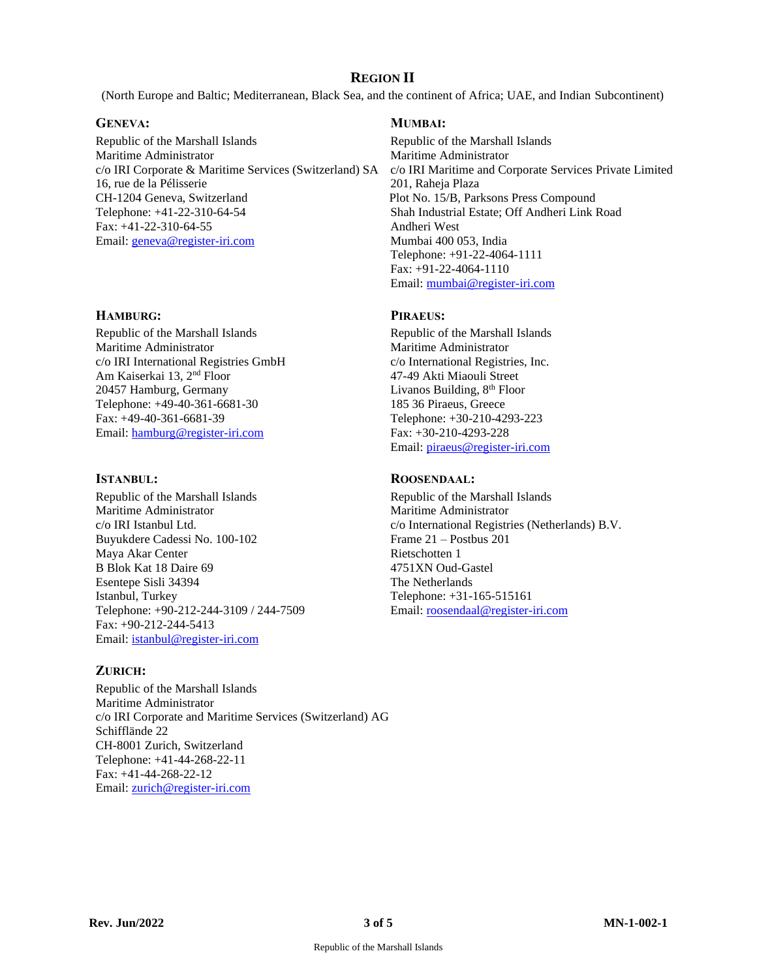# **REGION II**

(North Europe and Baltic; Mediterranean, Black Sea, and the continent of Africa; UAE, and Indian Subcontinent)

#### **GENEVA: MUMBAI:**

Republic of the Marshall Islands Maritime Administrator c/o IRI Corporate & Maritime Services (Switzerland) SA 16, rue de la Pélisserie CH-1204 Geneva, Switzerland Telephone: +41-22-310-64-54 Fax: +41-22-310-64-55 Email[: geneva@register-iri.com](mailto:geneva@register-iri.com)

#### **HAMBURG: PIRAEUS:**

Republic of the Marshall Islands Maritime Administrator c/o IRI International Registries GmbH Am Kaiserkai 13, 2nd Floor 20457 Hamburg, Germany Telephone: +49-40-361-6681-30 Fax: +49-40-361-6681-39 Email[: hamburg@register-iri.com](mailto:hamburg@register-iri.com)

Republic of the Marshall Islands Maritime Administrator c/o IRI Istanbul Ltd. Buyukdere Cadessi No. 100-102 Maya Akar Center B Blok Kat 18 Daire 69 Esentepe Sisli 34394 Istanbul, Turkey Telephone: +90-212-244-3109 / 244-7509 Fax: +90-212-244-5413 Email[: istanbul@register-iri.com](mailto:istanbul@register-iri.com)

### **ZURICH:**

Republic of the Marshall Islands Maritime Administrator c/o IRI Corporate and Maritime Services (Switzerland) AG Schifflände 22 CH-8001 Zurich, Switzerland Telephone: +41-44-268-22-11 Fax: +41-44-268-22-12 Email[: zurich@register-iri.com](mailto:zurich@register-iri.com)

Republic of the Marshall Islands Maritime Administrator c/o IRI Maritime and Corporate Services Private Limited 201, Raheja Plaza Plot No. 15/B, Parksons Press Compound Shah Industrial Estate; Off Andheri Link Road Andheri West Mumbai 400 053, India Telephone: +91-22-4064-1111 Fax: +91-22-4064-1110 Email: [mumbai@register-iri.com](mailto:mumbai@register-iri.com)

Republic of the Marshall Islands Maritime Administrator c/o International Registries, Inc. 47-49 Akti Miaouli Street Livanos Building, 8<sup>th</sup> Floor 185 36 Piraeus, Greece Telephone: +30-210-4293-223 Fax: +30-210-4293-228 Email: [piraeus@register-iri.com](mailto:piraeus@register-iri.com)

### **ISTANBUL: ROOSENDAAL:**

Republic of the Marshall Islands Maritime Administrator c/o International Registries (Netherlands) B.V. Frame 21 – Postbus 201 Rietschotten 1 4751XN Oud-Gastel The Netherlands Telephone: +31-165-515161 Email: [roosendaal@register-iri.com](mailto:roosendaal@register-iri.com)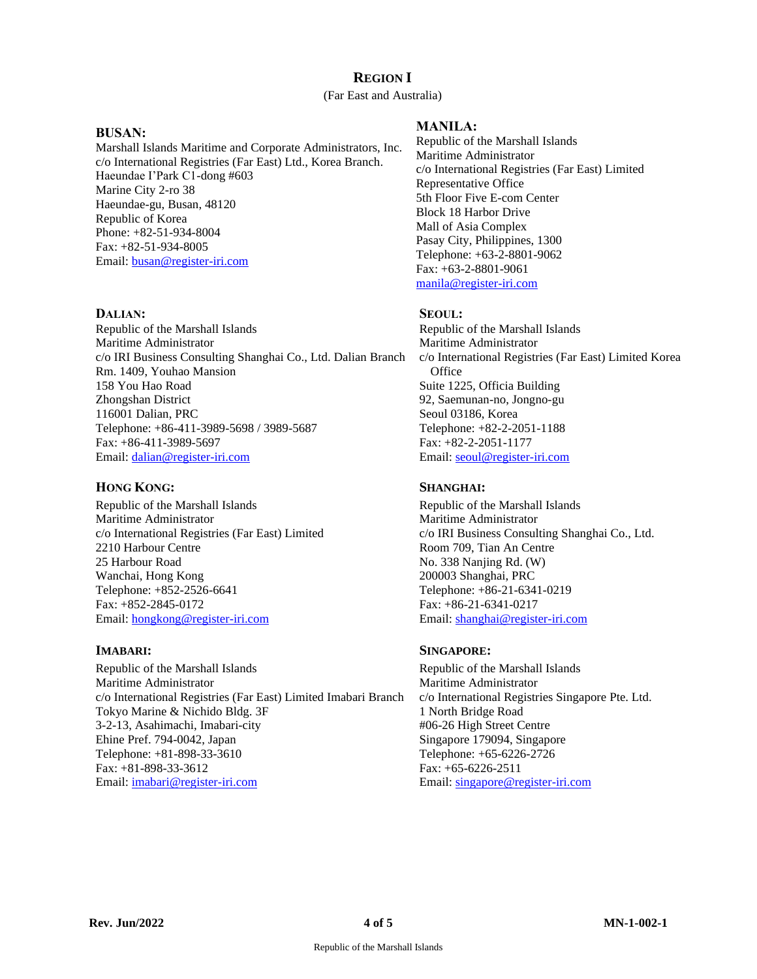# **REGION I**

#### (Far East and Australia)

#### **BUSAN:**

Marshall Islands Maritime and Corporate Administrators, Inc. c/o International Registries (Far East) Ltd., Korea Branch. Haeundae I'Park C1-dong #603 Marine City 2-ro 38 Haeundae-gu, Busan, 48120 Republic of Korea Phone: +82-51-934-8004 Fax: +82-51-934-8005 Email: [busan@register-iri.com](mailto:busan@register-iri.com)

#### **DALIAN: SEOUL:**

Republic of the Marshall Islands Maritime Administrator c/o IRI Business Consulting Shanghai Co., Ltd. Dalian Branch Rm. 1409, Youhao Mansion 158 You Hao Road Zhongshan District 116001 Dalian, PRC Telephone: +86-411-3989-5698 / 3989-5687 Fax: +86-411-3989-5697 Email[: dalian@register-iri.com](mailto:dalian@register-iri.com)

### **HONG KONG: SHANGHAI:**

Republic of the Marshall Islands Maritime Administrator c/o International Registries (Far East) Limited 2210 Harbour Centre 25 Harbour Road Wanchai, Hong Kong Telephone: +852-2526-6641 Fax: +852-2845-0172 Email[: hongkong@register-iri.com](mailto:hongkong@register-iri.com)

Republic of the Marshall Islands Maritime Administrator c/o International Registries (Far East) Limited Imabari Branch Tokyo Marine & Nichido Bldg. 3F 3-2-13, Asahimachi, Imabari-city Ehine Pref. 794-0042, Japan Telephone: +81-898-33-3610 Fax: +81-898-33-3612 Email[: imabari@register-iri.com](mailto:imabari@register-iri.com)

### **MANILA:**

Republic of the Marshall Islands Maritime Administrator c/o International Registries (Far East) Limited Representative Office 5th Floor Five E-com Center Block 18 Harbor Drive Mall of Asia Complex Pasay City, Philippines, 1300 Telephone: +63-2-8801-9062 Fax: +63-2-8801-9061 [manila@register-iri.com](mailto:manila@register-iri.com)

Republic of the Marshall Islands Maritime Administrator c/o International Registries (Far East) Limited Korea **Office** Suite 1225, Officia Building 92, Saemunan-no, Jongno-gu Seoul 03186, Korea Telephone: +82-2-2051-1188 Fax: +82-2-2051-1177 Email: [seoul@register-iri.com](mailto:seoul@register-iri.com)

Republic of the Marshall Islands Maritime Administrator c/o IRI Business Consulting Shanghai Co., Ltd. Room 709, Tian An Centre No. 338 Nanjing Rd. (W) 200003 Shanghai, PRC Telephone: +86-21-6341-0219 Fax: +86-21-6341-0217 Email: [shanghai@register-iri.com](mailto:shanghai@register-iri.com)

### **IMABARI: SINGAPORE:**

Republic of the Marshall Islands Maritime Administrator c/o International Registries Singapore Pte. Ltd. 1 North Bridge Road #06-26 High Street Centre Singapore 179094, Singapore Telephone: +65-6226-2726 Fax: +65-6226-2511 Email: [singapore@register-iri.com](mailto:singapore@register-iri.com)